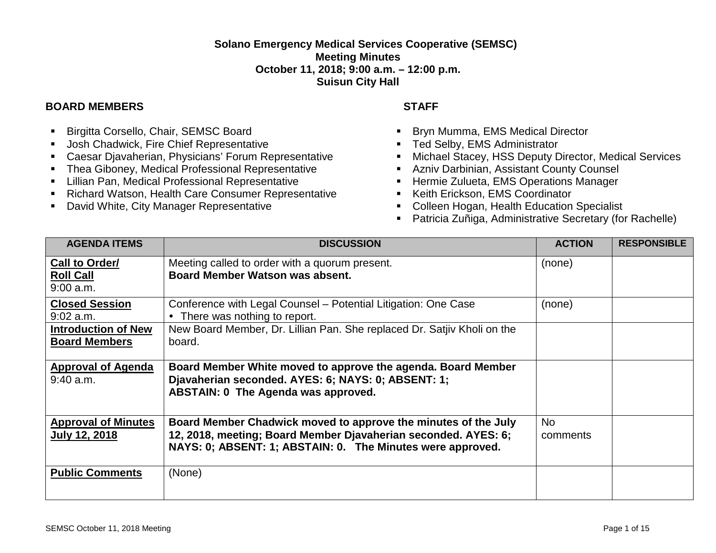## **Solano Emergency Medical Services Cooperative (SEMSC) Meeting Minutes October 11, 2018; 9:00 a.m. – 12:00 p.m. Suisun City Hall**

## **BOARD MEMBERS STAFF**

- **Birgitta Corsello, Chair, SEMSC Board**
- **Josh Chadwick, Fire Chief Representative**
- Caesar Djavaherian, Physicians' Forum Representative
- **F** Thea Giboney, Medical Professional Representative
- **E.** Lillian Pan, Medical Professional Representative
- Richard Watson, Health Care Consumer Representative
- **David White, City Manager Representative**

- **Bryn Mumma, EMS Medical Director**
- **Ted Selby, EMS Administrator**
- **EXECUTE: Michael Stacey, HSS Deputy Director, Medical Services**
- Azniv Darbinian, Assistant County Counsel
- **Hermie Zulueta, EMS Operations Manager**
- Keith Erickson, EMS Coordinator
- **Colleen Hogan, Health Education Specialist**
- Patricia Zuñiga, Administrative Secretary (for Rachelle)

| <b>AGENDA ITEMS</b>                                | <b>DISCUSSION</b>                                                                                                                                                                              | <b>ACTION</b>         | <b>RESPONSIBLE</b> |
|----------------------------------------------------|------------------------------------------------------------------------------------------------------------------------------------------------------------------------------------------------|-----------------------|--------------------|
| Call to Order/<br><b>Roll Call</b><br>$9:00$ a.m.  | Meeting called to order with a quorum present.<br>Board Member Watson was absent.                                                                                                              | (none)                |                    |
| <b>Closed Session</b><br>$9:02$ a.m.               | Conference with Legal Counsel – Potential Litigation: One Case<br>• There was nothing to report.                                                                                               | (none)                |                    |
| <b>Introduction of New</b><br><b>Board Members</b> | New Board Member, Dr. Lillian Pan. She replaced Dr. Satjiv Kholi on the<br>board.                                                                                                              |                       |                    |
| <b>Approval of Agenda</b><br>$9:40$ a.m.           | Board Member White moved to approve the agenda. Board Member<br>Djavaherian seconded. AYES: 6; NAYS: 0; ABSENT: 1;<br>ABSTAIN: 0 The Agenda was approved.                                      |                       |                    |
| <b>Approval of Minutes</b><br><b>July 12, 2018</b> | Board Member Chadwick moved to approve the minutes of the July<br>12, 2018, meeting; Board Member Djavaherian seconded. AYES: 6;<br>NAYS: 0; ABSENT: 1; ABSTAIN: 0. The Minutes were approved. | <b>No</b><br>comments |                    |
| <b>Public Comments</b>                             | (None)                                                                                                                                                                                         |                       |                    |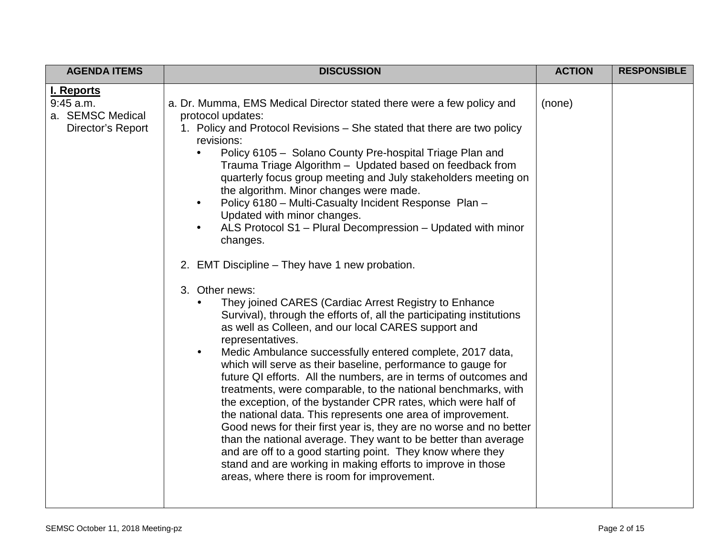| <b>AGENDA ITEMS</b>                                                       | <b>DISCUSSION</b>                                                                                                                                                                                                                                                                                                                                                                                                                                                                                                                                                                                                                                                                                                                                                                                                                                                                                                                                                                                                                                                                                                                                                                                                                                                                                                                                                                                                                                                                                                                                                                                               | <b>ACTION</b> | <b>RESPONSIBLE</b> |
|---------------------------------------------------------------------------|-----------------------------------------------------------------------------------------------------------------------------------------------------------------------------------------------------------------------------------------------------------------------------------------------------------------------------------------------------------------------------------------------------------------------------------------------------------------------------------------------------------------------------------------------------------------------------------------------------------------------------------------------------------------------------------------------------------------------------------------------------------------------------------------------------------------------------------------------------------------------------------------------------------------------------------------------------------------------------------------------------------------------------------------------------------------------------------------------------------------------------------------------------------------------------------------------------------------------------------------------------------------------------------------------------------------------------------------------------------------------------------------------------------------------------------------------------------------------------------------------------------------------------------------------------------------------------------------------------------------|---------------|--------------------|
| <b>I. Reports</b><br>$9:45$ a.m.<br>a. SEMSC Medical<br>Director's Report | a. Dr. Mumma, EMS Medical Director stated there were a few policy and<br>protocol updates:<br>1. Policy and Protocol Revisions – She stated that there are two policy<br>revisions:<br>Policy 6105 - Solano County Pre-hospital Triage Plan and<br>Trauma Triage Algorithm - Updated based on feedback from<br>quarterly focus group meeting and July stakeholders meeting on<br>the algorithm. Minor changes were made.<br>Policy 6180 - Multi-Casualty Incident Response Plan -<br>Updated with minor changes.<br>ALS Protocol S1 - Plural Decompression - Updated with minor<br>changes.<br>2. EMT Discipline - They have 1 new probation.<br>3. Other news:<br>They joined CARES (Cardiac Arrest Registry to Enhance<br>Survival), through the efforts of, all the participating institutions<br>as well as Colleen, and our local CARES support and<br>representatives.<br>Medic Ambulance successfully entered complete, 2017 data,<br>$\bullet$<br>which will serve as their baseline, performance to gauge for<br>future QI efforts. All the numbers, are in terms of outcomes and<br>treatments, were comparable, to the national benchmarks, with<br>the exception, of the bystander CPR rates, which were half of<br>the national data. This represents one area of improvement.<br>Good news for their first year is, they are no worse and no better<br>than the national average. They want to be better than average<br>and are off to a good starting point. They know where they<br>stand and are working in making efforts to improve in those<br>areas, where there is room for improvement. | (none)        |                    |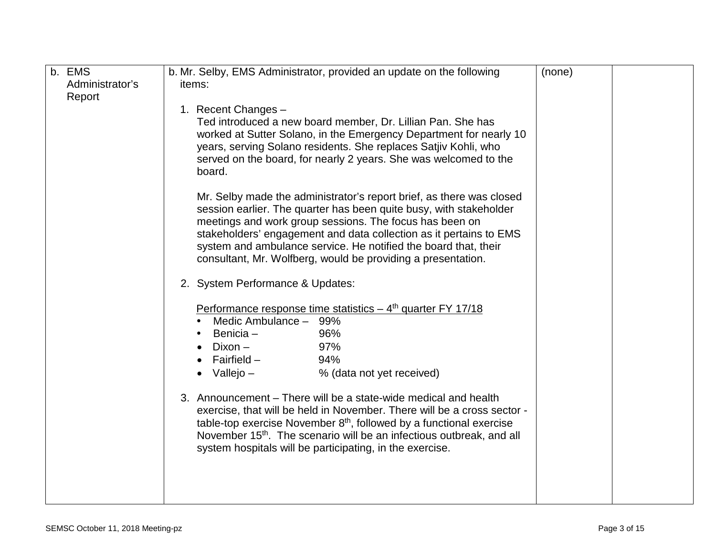| b. EMS          | b. Mr. Selby, EMS Administrator, provided an update on the following                                                                  | (none) |  |
|-----------------|---------------------------------------------------------------------------------------------------------------------------------------|--------|--|
| Administrator's | items:                                                                                                                                |        |  |
| Report          |                                                                                                                                       |        |  |
|                 | 1. Recent Changes -                                                                                                                   |        |  |
|                 | Ted introduced a new board member, Dr. Lillian Pan. She has                                                                           |        |  |
|                 | worked at Sutter Solano, in the Emergency Department for nearly 10                                                                    |        |  |
|                 | years, serving Solano residents. She replaces Satjiv Kohli, who                                                                       |        |  |
|                 | served on the board, for nearly 2 years. She was welcomed to the                                                                      |        |  |
|                 | board.                                                                                                                                |        |  |
|                 |                                                                                                                                       |        |  |
|                 | Mr. Selby made the administrator's report brief, as there was closed                                                                  |        |  |
|                 | session earlier. The quarter has been quite busy, with stakeholder                                                                    |        |  |
|                 | meetings and work group sessions. The focus has been on                                                                               |        |  |
|                 | stakeholders' engagement and data collection as it pertains to EMS<br>system and ambulance service. He notified the board that, their |        |  |
|                 | consultant, Mr. Wolfberg, would be providing a presentation.                                                                          |        |  |
|                 |                                                                                                                                       |        |  |
|                 | 2. System Performance & Updates:                                                                                                      |        |  |
|                 |                                                                                                                                       |        |  |
|                 | Performance response time statistics $-4$ <sup>th</sup> quarter FY 17/18                                                              |        |  |
|                 | Medic Ambulance - 99%                                                                                                                 |        |  |
|                 | Benicia-<br>96%                                                                                                                       |        |  |
|                 | 97%<br>$Dixon -$                                                                                                                      |        |  |
|                 | Fairfield $-$<br>94%                                                                                                                  |        |  |
|                 | Vallejo –<br>% (data not yet received)                                                                                                |        |  |
|                 | 3. Announcement – There will be a state-wide medical and health                                                                       |        |  |
|                 | exercise, that will be held in November. There will be a cross sector -                                                               |        |  |
|                 | table-top exercise November $8th$ , followed by a functional exercise                                                                 |        |  |
|                 | November 15 <sup>th</sup> . The scenario will be an infectious outbreak, and all                                                      |        |  |
|                 | system hospitals will be participating, in the exercise.                                                                              |        |  |
|                 |                                                                                                                                       |        |  |
|                 |                                                                                                                                       |        |  |
|                 |                                                                                                                                       |        |  |
|                 |                                                                                                                                       |        |  |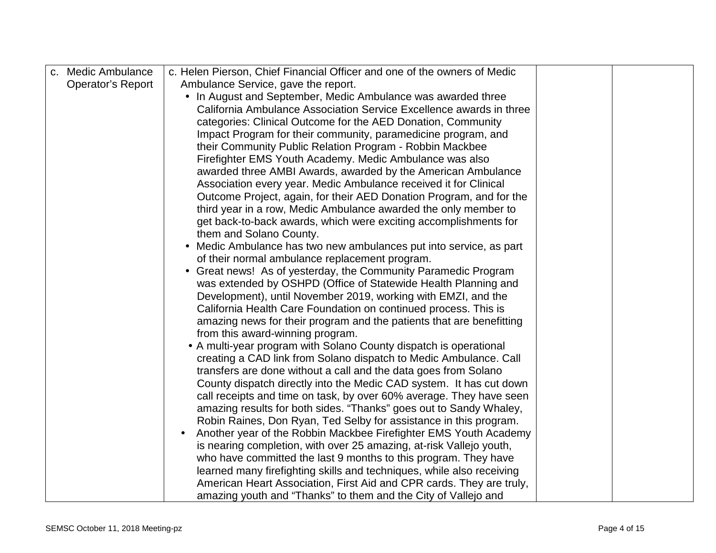| c. Medic Ambulance       | c. Helen Pierson, Chief Financial Officer and one of the owners of Medic                                           |  |
|--------------------------|--------------------------------------------------------------------------------------------------------------------|--|
| <b>Operator's Report</b> | Ambulance Service, gave the report.                                                                                |  |
|                          | In August and September, Medic Ambulance was awarded three<br>$\bullet$                                            |  |
|                          | California Ambulance Association Service Excellence awards in three                                                |  |
|                          | categories: Clinical Outcome for the AED Donation, Community                                                       |  |
|                          | Impact Program for their community, paramedicine program, and                                                      |  |
|                          | their Community Public Relation Program - Robbin Mackbee                                                           |  |
|                          | Firefighter EMS Youth Academy. Medic Ambulance was also                                                            |  |
|                          | awarded three AMBI Awards, awarded by the American Ambulance                                                       |  |
|                          | Association every year. Medic Ambulance received it for Clinical                                                   |  |
|                          | Outcome Project, again, for their AED Donation Program, and for the                                                |  |
|                          | third year in a row, Medic Ambulance awarded the only member to                                                    |  |
|                          | get back-to-back awards, which were exciting accomplishments for                                                   |  |
|                          | them and Solano County.                                                                                            |  |
|                          | Medic Ambulance has two new ambulances put into service, as part<br>of their normal ambulance replacement program. |  |
|                          | Great news! As of yesterday, the Community Paramedic Program<br>$\bullet$                                          |  |
|                          | was extended by OSHPD (Office of Statewide Health Planning and                                                     |  |
|                          | Development), until November 2019, working with EMZI, and the                                                      |  |
|                          | California Health Care Foundation on continued process. This is                                                    |  |
|                          | amazing news for their program and the patients that are benefitting                                               |  |
|                          | from this award-winning program.                                                                                   |  |
|                          | • A multi-year program with Solano County dispatch is operational                                                  |  |
|                          | creating a CAD link from Solano dispatch to Medic Ambulance. Call                                                  |  |
|                          | transfers are done without a call and the data goes from Solano                                                    |  |
|                          | County dispatch directly into the Medic CAD system. It has cut down                                                |  |
|                          | call receipts and time on task, by over 60% average. They have seen                                                |  |
|                          | amazing results for both sides. "Thanks" goes out to Sandy Whaley,                                                 |  |
|                          | Robin Raines, Don Ryan, Ted Selby for assistance in this program.                                                  |  |
|                          | Another year of the Robbin Mackbee Firefighter EMS Youth Academy                                                   |  |
|                          | is nearing completion, with over 25 amazing, at-risk Vallejo youth,                                                |  |
|                          | who have committed the last 9 months to this program. They have                                                    |  |
|                          | learned many firefighting skills and techniques, while also receiving                                              |  |
|                          | American Heart Association, First Aid and CPR cards. They are truly,                                               |  |
|                          | amazing youth and "Thanks" to them and the City of Vallejo and                                                     |  |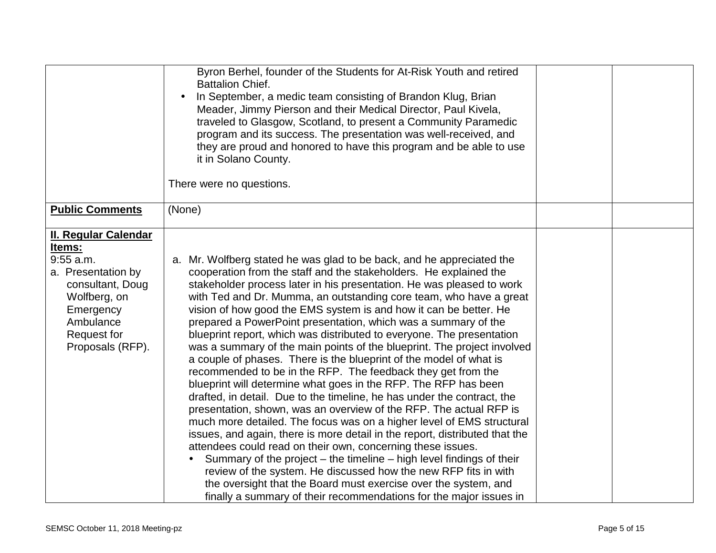|                                                                                                                                                                                    | Byron Berhel, founder of the Students for At-Risk Youth and retired<br><b>Battalion Chief.</b><br>In September, a medic team consisting of Brandon Klug, Brian<br>Meader, Jimmy Pierson and their Medical Director, Paul Kivela,<br>traveled to Glasgow, Scotland, to present a Community Paramedic<br>program and its success. The presentation was well-received, and<br>they are proud and honored to have this program and be able to use<br>it in Solano County.<br>There were no questions.                                                                                                                                                                                                                                                                                                                                                                                                                                                                                                                                                                                                                                                                                                                                                                                                                                                                                                                                                            |  |
|------------------------------------------------------------------------------------------------------------------------------------------------------------------------------------|--------------------------------------------------------------------------------------------------------------------------------------------------------------------------------------------------------------------------------------------------------------------------------------------------------------------------------------------------------------------------------------------------------------------------------------------------------------------------------------------------------------------------------------------------------------------------------------------------------------------------------------------------------------------------------------------------------------------------------------------------------------------------------------------------------------------------------------------------------------------------------------------------------------------------------------------------------------------------------------------------------------------------------------------------------------------------------------------------------------------------------------------------------------------------------------------------------------------------------------------------------------------------------------------------------------------------------------------------------------------------------------------------------------------------------------------------------------|--|
| <b>Public Comments</b>                                                                                                                                                             | (None)                                                                                                                                                                                                                                                                                                                                                                                                                                                                                                                                                                                                                                                                                                                                                                                                                                                                                                                                                                                                                                                                                                                                                                                                                                                                                                                                                                                                                                                       |  |
| <b>II. Regular Calendar</b><br>Items:<br>$9:55$ a.m.<br>a. Presentation by<br>consultant, Doug<br>Wolfberg, on<br>Emergency<br>Ambulance<br><b>Request for</b><br>Proposals (RFP). | Mr. Wolfberg stated he was glad to be back, and he appreciated the<br>a.<br>cooperation from the staff and the stakeholders. He explained the<br>stakeholder process later in his presentation. He was pleased to work<br>with Ted and Dr. Mumma, an outstanding core team, who have a great<br>vision of how good the EMS system is and how it can be better. He<br>prepared a PowerPoint presentation, which was a summary of the<br>blueprint report, which was distributed to everyone. The presentation<br>was a summary of the main points of the blueprint. The project involved<br>a couple of phases. There is the blueprint of the model of what is<br>recommended to be in the RFP. The feedback they get from the<br>blueprint will determine what goes in the RFP. The RFP has been<br>drafted, in detail. Due to the timeline, he has under the contract, the<br>presentation, shown, was an overview of the RFP. The actual RFP is<br>much more detailed. The focus was on a higher level of EMS structural<br>issues, and again, there is more detail in the report, distributed that the<br>attendees could read on their own, concerning these issues.<br>Summary of the project – the timeline – high level findings of their<br>review of the system. He discussed how the new RFP fits in with<br>the oversight that the Board must exercise over the system, and<br>finally a summary of their recommendations for the major issues in |  |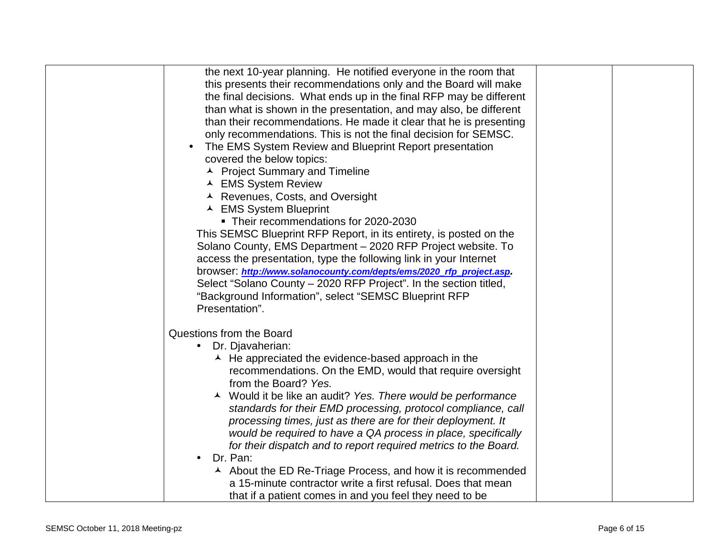| the next 10-year planning. He notified everyone in the room that           |  |
|----------------------------------------------------------------------------|--|
| this presents their recommendations only and the Board will make           |  |
| the final decisions. What ends up in the final RFP may be different        |  |
| than what is shown in the presentation, and may also, be different         |  |
| than their recommendations. He made it clear that he is presenting         |  |
| only recommendations. This is not the final decision for SEMSC.            |  |
| The EMS System Review and Blueprint Report presentation                    |  |
| covered the below topics:                                                  |  |
| ▲ Project Summary and Timeline                                             |  |
| ▲ EMS System Review                                                        |  |
| ▲ Revenues, Costs, and Oversight                                           |  |
| ▲ EMS System Blueprint                                                     |  |
| • Their recommendations for 2020-2030                                      |  |
|                                                                            |  |
| This SEMSC Blueprint RFP Report, in its entirety, is posted on the         |  |
| Solano County, EMS Department - 2020 RFP Project website. To               |  |
| access the presentation, type the following link in your Internet          |  |
| browser: http://www.solanocounty.com/depts/ems/2020_rfp_project.asp.       |  |
| Select "Solano County - 2020 RFP Project". In the section titled,          |  |
| "Background Information", select "SEMSC Blueprint RFP                      |  |
| Presentation".                                                             |  |
| Questions from the Board                                                   |  |
| Dr. Djavaherian:<br>$\bullet$                                              |  |
| $\overline{\phantom{a}}$ He appreciated the evidence-based approach in the |  |
| recommendations. On the EMD, would that require oversight                  |  |
| from the Board? Yes.                                                       |  |
| ▲ Would it be like an audit? Yes. There would be performance               |  |
| standards for their EMD processing, protocol compliance, call              |  |
| processing times, just as there are for their deployment. It               |  |
| would be required to have a QA process in place, specifically              |  |
| for their dispatch and to report required metrics to the Board.            |  |
| Dr. Pan:<br>$\bullet$                                                      |  |
| ▲ About the ED Re-Triage Process, and how it is recommended                |  |
| a 15-minute contractor write a first refusal. Does that mean               |  |
|                                                                            |  |
| that if a patient comes in and you feel they need to be                    |  |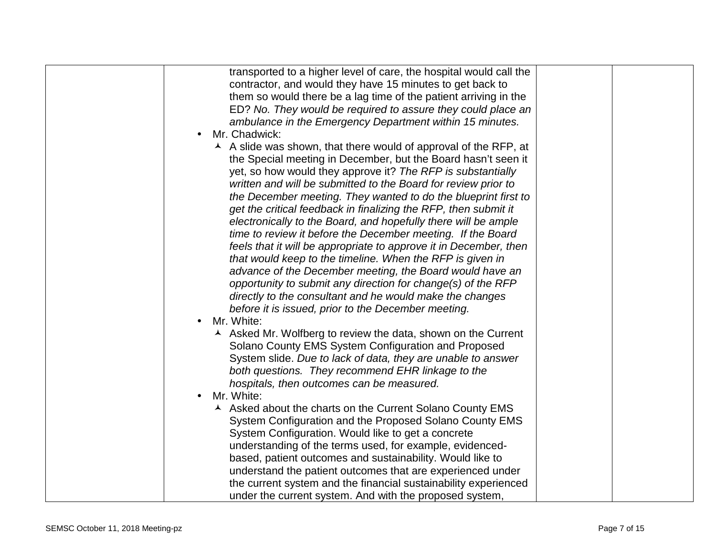| transported to a higher level of care, the hospital would call the |  |
|--------------------------------------------------------------------|--|
| contractor, and would they have 15 minutes to get back to          |  |
| them so would there be a lag time of the patient arriving in the   |  |
| ED? No. They would be required to assure they could place an       |  |
| ambulance in the Emergency Department within 15 minutes.           |  |
| Mr. Chadwick:                                                      |  |
| A A slide was shown, that there would of approval of the RFP, at   |  |
| the Special meeting in December, but the Board hasn't seen it      |  |
| yet, so how would they approve it? The RFP is substantially        |  |
| written and will be submitted to the Board for review prior to     |  |
| the December meeting. They wanted to do the blueprint first to     |  |
|                                                                    |  |
| get the critical feedback in finalizing the RFP, then submit it    |  |
| electronically to the Board, and hopefully there will be ample     |  |
| time to review it before the December meeting. If the Board        |  |
| feels that it will be appropriate to approve it in December, then  |  |
| that would keep to the timeline. When the RFP is given in          |  |
| advance of the December meeting, the Board would have an           |  |
| opportunity to submit any direction for change(s) of the RFP       |  |
| directly to the consultant and he would make the changes           |  |
| before it is issued, prior to the December meeting.                |  |
| Mr. White:                                                         |  |
| A Asked Mr. Wolfberg to review the data, shown on the Current      |  |
| Solano County EMS System Configuration and Proposed                |  |
| System slide. Due to lack of data, they are unable to answer       |  |
| both questions. They recommend EHR linkage to the                  |  |
| hospitals, then outcomes can be measured.                          |  |
| Mr. White:                                                         |  |
| A Asked about the charts on the Current Solano County EMS          |  |
| System Configuration and the Proposed Solano County EMS            |  |
| System Configuration. Would like to get a concrete                 |  |
| understanding of the terms used, for example, evidenced-           |  |
| based, patient outcomes and sustainability. Would like to          |  |
| understand the patient outcomes that are experienced under         |  |
| the current system and the financial sustainability experienced    |  |
|                                                                    |  |
| under the current system. And with the proposed system,            |  |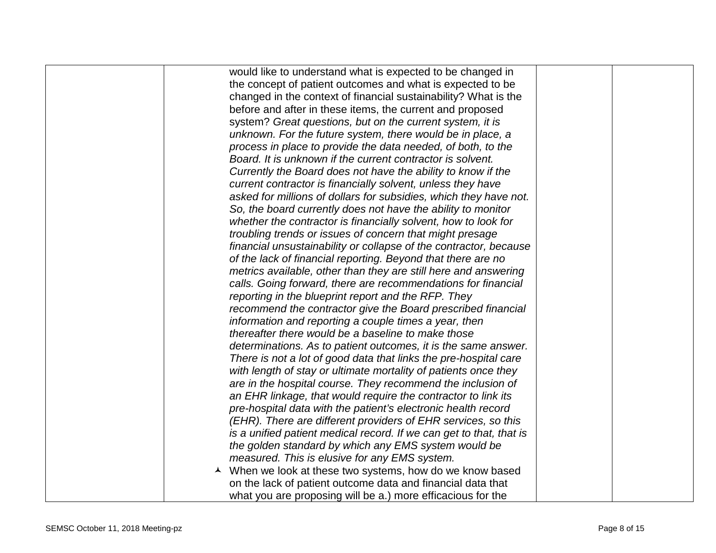| would like to understand what is expected to be changed in          |  |
|---------------------------------------------------------------------|--|
| the concept of patient outcomes and what is expected to be          |  |
| changed in the context of financial sustainability? What is the     |  |
| before and after in these items, the current and proposed           |  |
| system? Great questions, but on the current system, it is           |  |
| unknown. For the future system, there would be in place, a          |  |
| process in place to provide the data needed, of both, to the        |  |
| Board. It is unknown if the current contractor is solvent.          |  |
| Currently the Board does not have the ability to know if the        |  |
| current contractor is financially solvent, unless they have         |  |
| asked for millions of dollars for subsidies, which they have not.   |  |
| So, the board currently does not have the ability to monitor        |  |
| whether the contractor is financially solvent, how to look for      |  |
| troubling trends or issues of concern that might presage            |  |
| financial unsustainability or collapse of the contractor, because   |  |
| of the lack of financial reporting. Beyond that there are no        |  |
| metrics available, other than they are still here and answering     |  |
| calls. Going forward, there are recommendations for financial       |  |
| reporting in the blueprint report and the RFP. They                 |  |
| recommend the contractor give the Board prescribed financial        |  |
| information and reporting a couple times a year, then               |  |
| thereafter there would be a baseline to make those                  |  |
| determinations. As to patient outcomes, it is the same answer.      |  |
| There is not a lot of good data that links the pre-hospital care    |  |
| with length of stay or ultimate mortality of patients once they     |  |
| are in the hospital course. They recommend the inclusion of         |  |
| an EHR linkage, that would require the contractor to link its       |  |
| pre-hospital data with the patient's electronic health record       |  |
| (EHR). There are different providers of EHR services, so this       |  |
| is a unified patient medical record. If we can get to that, that is |  |
| the golden standard by which any EMS system would be                |  |
| measured. This is elusive for any EMS system.                       |  |
| ▲ When we look at these two systems, how do we know based           |  |
| on the lack of patient outcome data and financial data that         |  |
| what you are proposing will be a.) more efficacious for the         |  |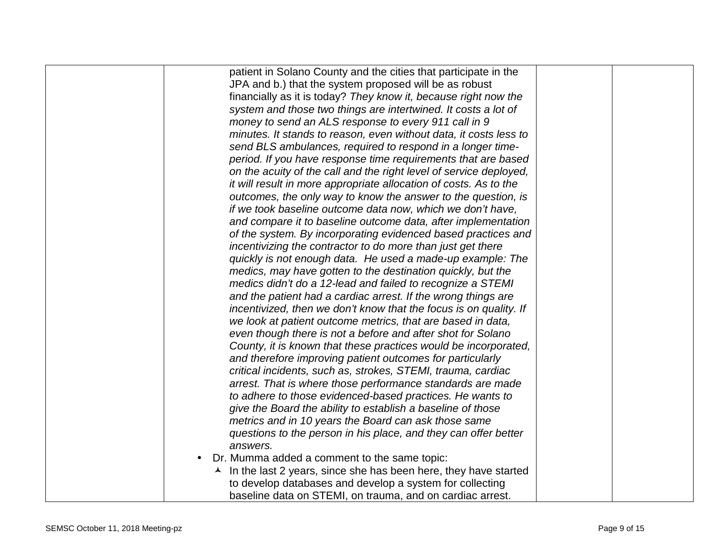| patient in Solano County and the cities that participate in the           |  |
|---------------------------------------------------------------------------|--|
| JPA and b.) that the system proposed will be as robust                    |  |
| financially as it is today? They know it, because right now the           |  |
| system and those two things are intertwined. It costs a lot of            |  |
| money to send an ALS response to every 911 call in 9                      |  |
| minutes. It stands to reason, even without data, it costs less to         |  |
| send BLS ambulances, required to respond in a longer time-                |  |
| period. If you have response time requirements that are based             |  |
| on the acuity of the call and the right level of service deployed,        |  |
| it will result in more appropriate allocation of costs. As to the         |  |
| outcomes, the only way to know the answer to the question, is             |  |
| if we took baseline outcome data now, which we don't have,                |  |
| and compare it to baseline outcome data, after implementation             |  |
| of the system. By incorporating evidenced based practices and             |  |
| incentivizing the contractor to do more than just get there               |  |
| quickly is not enough data. He used a made-up example: The                |  |
| medics, may have gotten to the destination quickly, but the               |  |
| medics didn't do a 12-lead and failed to recognize a STEMI                |  |
| and the patient had a cardiac arrest. If the wrong things are             |  |
| incentivized, then we don't know that the focus is on quality. If         |  |
| we look at patient outcome metrics, that are based in data,               |  |
| even though there is not a before and after shot for Solano               |  |
| County, it is known that these practices would be incorporated,           |  |
| and therefore improving patient outcomes for particularly                 |  |
| critical incidents, such as, strokes, STEMI, trauma, cardiac              |  |
| arrest. That is where those performance standards are made                |  |
| to adhere to those evidenced-based practices. He wants to                 |  |
| give the Board the ability to establish a baseline of those               |  |
| metrics and in 10 years the Board can ask those same                      |  |
| questions to the person in his place, and they can offer better           |  |
| answers.                                                                  |  |
| Dr. Mumma added a comment to the same topic:<br>$\bullet$                 |  |
| $\lambda$ In the last 2 years, since she has been here, they have started |  |
| to develop databases and develop a system for collecting                  |  |
| baseline data on STEMI, on trauma, and on cardiac arrest.                 |  |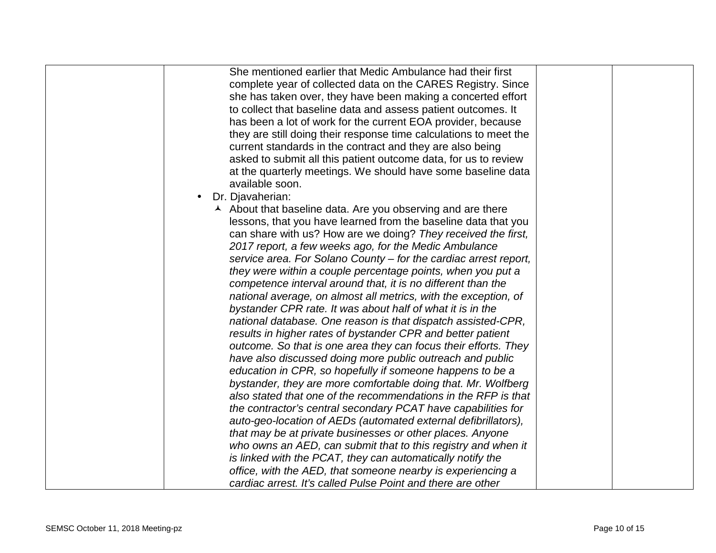| She mentioned earlier that Medic Ambulance had their first        |  |
|-------------------------------------------------------------------|--|
| complete year of collected data on the CARES Registry. Since      |  |
| she has taken over, they have been making a concerted effort      |  |
| to collect that baseline data and assess patient outcomes. It     |  |
| has been a lot of work for the current EOA provider, because      |  |
| they are still doing their response time calculations to meet the |  |
| current standards in the contract and they are also being         |  |
| asked to submit all this patient outcome data, for us to review   |  |
| at the quarterly meetings. We should have some baseline data      |  |
| available soon.                                                   |  |
| Dr. Djavaherian:                                                  |  |
| A About that baseline data. Are you observing and are there       |  |
| lessons, that you have learned from the baseline data that you    |  |
| can share with us? How are we doing? They received the first,     |  |
| 2017 report, a few weeks ago, for the Medic Ambulance             |  |
| service area. For Solano County - for the cardiac arrest report,  |  |
| they were within a couple percentage points, when you put a       |  |
| competence interval around that, it is no different than the      |  |
| national average, on almost all metrics, with the exception, of   |  |
| bystander CPR rate. It was about half of what it is in the        |  |
| national database. One reason is that dispatch assisted-CPR,      |  |
| results in higher rates of bystander CPR and better patient       |  |
| outcome. So that is one area they can focus their efforts. They   |  |
| have also discussed doing more public outreach and public         |  |
| education in CPR, so hopefully if someone happens to be a         |  |
| bystander, they are more comfortable doing that. Mr. Wolfberg     |  |
| also stated that one of the recommendations in the RFP is that    |  |
| the contractor's central secondary PCAT have capabilities for     |  |
| auto-geo-location of AEDs (automated external defibrillators),    |  |
| that may be at private businesses or other places. Anyone         |  |
| who owns an AED, can submit that to this registry and when it     |  |
| is linked with the PCAT, they can automatically notify the        |  |
| office, with the AED, that someone nearby is experiencing a       |  |
| cardiac arrest. It's called Pulse Point and there are other       |  |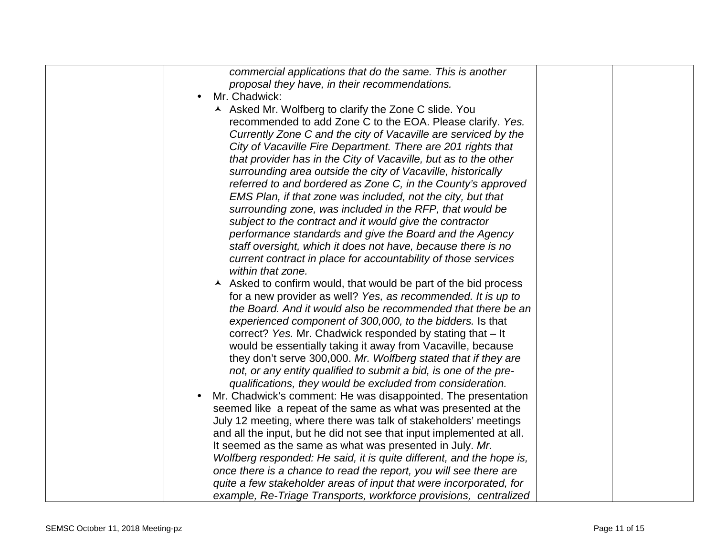| commercial applications that do the same. This is another                              |  |
|----------------------------------------------------------------------------------------|--|
| proposal they have, in their recommendations.                                          |  |
| Mr. Chadwick:                                                                          |  |
| A Asked Mr. Wolfberg to clarify the Zone C slide. You                                  |  |
| recommended to add Zone C to the EOA. Please clarify. Yes.                             |  |
| Currently Zone C and the city of Vacaville are serviced by the                         |  |
| City of Vacaville Fire Department. There are 201 rights that                           |  |
| that provider has in the City of Vacaville, but as to the other                        |  |
| surrounding area outside the city of Vacaville, historically                           |  |
| referred to and bordered as Zone C, in the County's approved                           |  |
| EMS Plan, if that zone was included, not the city, but that                            |  |
| surrounding zone, was included in the RFP, that would be                               |  |
| subject to the contract and it would give the contractor                               |  |
| performance standards and give the Board and the Agency                                |  |
| staff oversight, which it does not have, because there is no                           |  |
| current contract in place for accountability of those services                         |  |
| within that zone.                                                                      |  |
| $\overline{\phantom{a}}$ Asked to confirm would, that would be part of the bid process |  |
| for a new provider as well? Yes, as recommended. It is up to                           |  |
| the Board. And it would also be recommended that there be an                           |  |
| experienced component of 300,000, to the bidders. Is that                              |  |
| correct? Yes. Mr. Chadwick responded by stating that - It                              |  |
| would be essentially taking it away from Vacaville, because                            |  |
| they don't serve 300,000. Mr. Wolfberg stated that if they are                         |  |
| not, or any entity qualified to submit a bid, is one of the pre-                       |  |
| qualifications, they would be excluded from consideration.                             |  |
| Mr. Chadwick's comment: He was disappointed. The presentation                          |  |
| seemed like a repeat of the same as what was presented at the                          |  |
| July 12 meeting, where there was talk of stakeholders' meetings                        |  |
| and all the input, but he did not see that input implemented at all.                   |  |
| It seemed as the same as what was presented in July. Mr.                               |  |
| Wolfberg responded: He said, it is quite different, and the hope is,                   |  |
| once there is a chance to read the report, you will see there are                      |  |
| quite a few stakeholder areas of input that were incorporated, for                     |  |
| example, Re-Triage Transports, workforce provisions, centralized                       |  |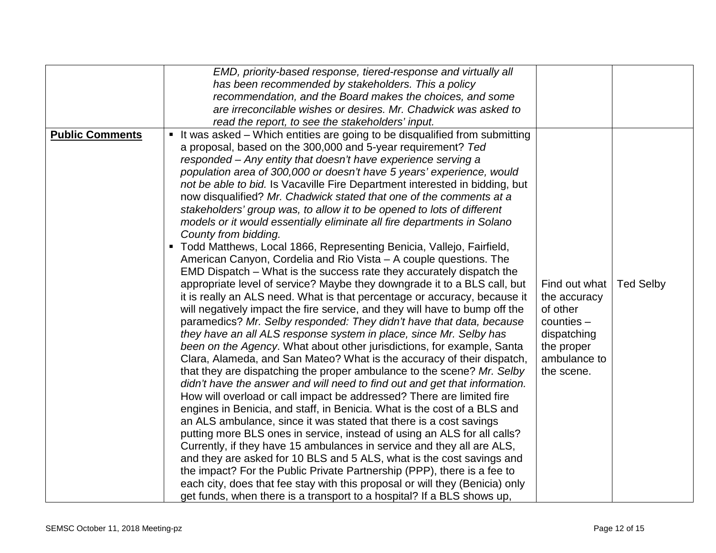|                        | EMD, priority-based response, tiered-response and virtually all                                                                                                                                                                                                                                                                                                                                                                                                                                                                                                                                                                                                                                                                                                                                                                                                                                                                                                                                                                                                                                                                                                                                                                                                                                                                                                                                                                                                                                                                                                                                                                                                                                                                                                                                                                                                                                                                                                                                                                                                                                                                                                                                                                                    |                                                                                                                      |                  |
|------------------------|----------------------------------------------------------------------------------------------------------------------------------------------------------------------------------------------------------------------------------------------------------------------------------------------------------------------------------------------------------------------------------------------------------------------------------------------------------------------------------------------------------------------------------------------------------------------------------------------------------------------------------------------------------------------------------------------------------------------------------------------------------------------------------------------------------------------------------------------------------------------------------------------------------------------------------------------------------------------------------------------------------------------------------------------------------------------------------------------------------------------------------------------------------------------------------------------------------------------------------------------------------------------------------------------------------------------------------------------------------------------------------------------------------------------------------------------------------------------------------------------------------------------------------------------------------------------------------------------------------------------------------------------------------------------------------------------------------------------------------------------------------------------------------------------------------------------------------------------------------------------------------------------------------------------------------------------------------------------------------------------------------------------------------------------------------------------------------------------------------------------------------------------------------------------------------------------------------------------------------------------------|----------------------------------------------------------------------------------------------------------------------|------------------|
|                        | has been recommended by stakeholders. This a policy                                                                                                                                                                                                                                                                                                                                                                                                                                                                                                                                                                                                                                                                                                                                                                                                                                                                                                                                                                                                                                                                                                                                                                                                                                                                                                                                                                                                                                                                                                                                                                                                                                                                                                                                                                                                                                                                                                                                                                                                                                                                                                                                                                                                |                                                                                                                      |                  |
|                        | recommendation, and the Board makes the choices, and some                                                                                                                                                                                                                                                                                                                                                                                                                                                                                                                                                                                                                                                                                                                                                                                                                                                                                                                                                                                                                                                                                                                                                                                                                                                                                                                                                                                                                                                                                                                                                                                                                                                                                                                                                                                                                                                                                                                                                                                                                                                                                                                                                                                          |                                                                                                                      |                  |
|                        | are irreconcilable wishes or desires. Mr. Chadwick was asked to                                                                                                                                                                                                                                                                                                                                                                                                                                                                                                                                                                                                                                                                                                                                                                                                                                                                                                                                                                                                                                                                                                                                                                                                                                                                                                                                                                                                                                                                                                                                                                                                                                                                                                                                                                                                                                                                                                                                                                                                                                                                                                                                                                                    |                                                                                                                      |                  |
|                        | read the report, to see the stakeholders' input.                                                                                                                                                                                                                                                                                                                                                                                                                                                                                                                                                                                                                                                                                                                                                                                                                                                                                                                                                                                                                                                                                                                                                                                                                                                                                                                                                                                                                                                                                                                                                                                                                                                                                                                                                                                                                                                                                                                                                                                                                                                                                                                                                                                                   |                                                                                                                      |                  |
| <b>Public Comments</b> | It was asked – Which entities are going to be disqualified from submitting<br>п<br>a proposal, based on the 300,000 and 5-year requirement? Ted<br>responded - Any entity that doesn't have experience serving a<br>population area of 300,000 or doesn't have 5 years' experience, would<br>not be able to bid. Is Vacaville Fire Department interested in bidding, but<br>now disqualified? Mr. Chadwick stated that one of the comments at a<br>stakeholders' group was, to allow it to be opened to lots of different<br>models or it would essentially eliminate all fire departments in Solano<br>County from bidding.<br>Todd Matthews, Local 1866, Representing Benicia, Vallejo, Fairfield,<br>American Canyon, Cordelia and Rio Vista - A couple questions. The<br>EMD Dispatch – What is the success rate they accurately dispatch the<br>appropriate level of service? Maybe they downgrade it to a BLS call, but<br>it is really an ALS need. What is that percentage or accuracy, because it<br>will negatively impact the fire service, and they will have to bump off the<br>paramedics? Mr. Selby responded: They didn't have that data, because<br>they have an all ALS response system in place, since Mr. Selby has<br>been on the Agency. What about other jurisdictions, for example, Santa<br>Clara, Alameda, and San Mateo? What is the accuracy of their dispatch,<br>that they are dispatching the proper ambulance to the scene? Mr. Selby<br>didn't have the answer and will need to find out and get that information.<br>How will overload or call impact be addressed? There are limited fire<br>engines in Benicia, and staff, in Benicia. What is the cost of a BLS and<br>an ALS ambulance, since it was stated that there is a cost savings<br>putting more BLS ones in service, instead of using an ALS for all calls?<br>Currently, if they have 15 ambulances in service and they all are ALS,<br>and they are asked for 10 BLS and 5 ALS, what is the cost savings and<br>the impact? For the Public Private Partnership (PPP), there is a fee to<br>each city, does that fee stay with this proposal or will they (Benicia) only<br>get funds, when there is a transport to a hospital? If a BLS shows up, | Find out what<br>the accuracy<br>of other<br>$counties -$<br>dispatching<br>the proper<br>ambulance to<br>the scene. | <b>Ted Selby</b> |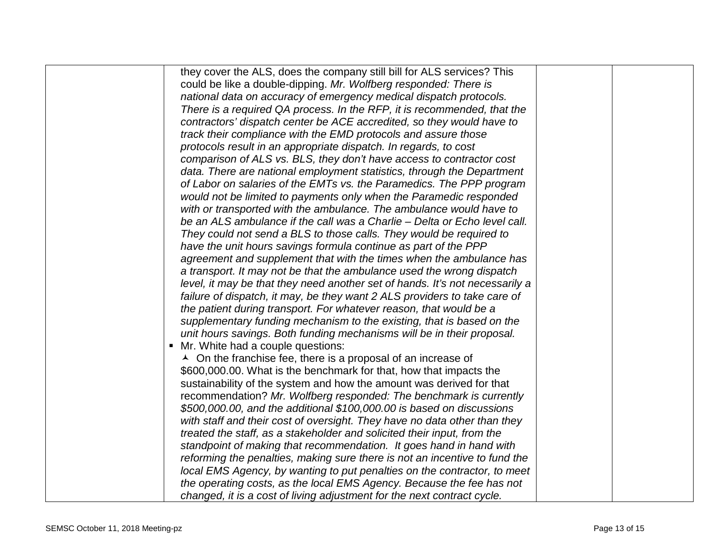| they cover the ALS, does the company still bill for ALS services? This       |  |
|------------------------------------------------------------------------------|--|
| could be like a double-dipping. Mr. Wolfberg responded: There is             |  |
| national data on accuracy of emergency medical dispatch protocols.           |  |
| There is a required QA process. In the RFP, it is recommended, that the      |  |
| contractors' dispatch center be ACE accredited, so they would have to        |  |
| track their compliance with the EMD protocols and assure those               |  |
| protocols result in an appropriate dispatch. In regards, to cost             |  |
| comparison of ALS vs. BLS, they don't have access to contractor cost         |  |
| data. There are national employment statistics, through the Department       |  |
| of Labor on salaries of the EMTs vs. the Paramedics. The PPP program         |  |
| would not be limited to payments only when the Paramedic responded           |  |
| with or transported with the ambulance. The ambulance would have to          |  |
| be an ALS ambulance if the call was a Charlie – Delta or Echo level call.    |  |
| They could not send a BLS to those calls. They would be required to          |  |
| have the unit hours savings formula continue as part of the PPP              |  |
| agreement and supplement that with the times when the ambulance has          |  |
| a transport. It may not be that the ambulance used the wrong dispatch        |  |
| level, it may be that they need another set of hands. It's not necessarily a |  |
| failure of dispatch, it may, be they want 2 ALS providers to take care of    |  |
| the patient during transport. For whatever reason, that would be a           |  |
| supplementary funding mechanism to the existing, that is based on the        |  |
| unit hours savings. Both funding mechanisms will be in their proposal.       |  |
| Mr. White had a couple questions:<br>$\blacksquare$                          |  |
| $\lambda$ On the franchise fee, there is a proposal of an increase of        |  |
| \$600,000.00. What is the benchmark for that, how that impacts the           |  |
| sustainability of the system and how the amount was derived for that         |  |
| recommendation? Mr. Wolfberg responded: The benchmark is currently           |  |
| \$500,000.00, and the additional \$100,000.00 is based on discussions        |  |
| with staff and their cost of oversight. They have no data other than they    |  |
| treated the staff, as a stakeholder and solicited their input, from the      |  |
| standpoint of making that recommendation. It goes hand in hand with          |  |
| reforming the penalties, making sure there is not an incentive to fund the   |  |
| local EMS Agency, by wanting to put penalties on the contractor, to meet     |  |
| the operating costs, as the local EMS Agency. Because the fee has not        |  |
| changed, it is a cost of living adjustment for the next contract cycle.      |  |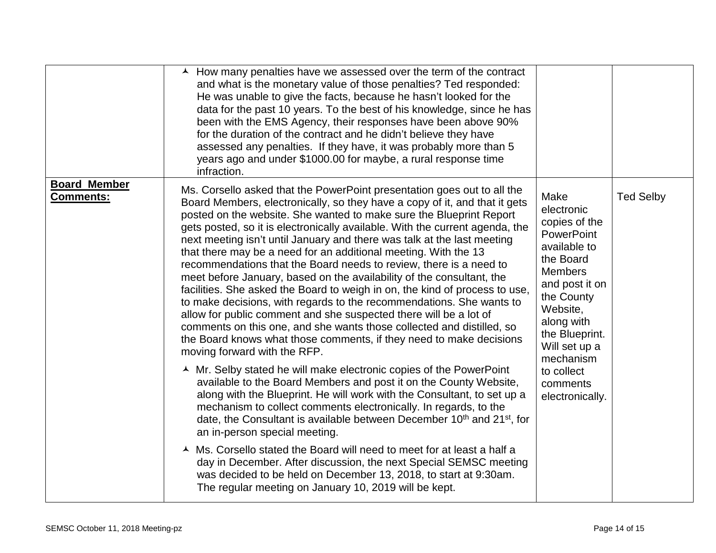|                                         | $\overline{\phantom{a}}$ How many penalties have we assessed over the term of the contract<br>and what is the monetary value of those penalties? Ted responded:<br>He was unable to give the facts, because he hasn't looked for the<br>data for the past 10 years. To the best of his knowledge, since he has<br>been with the EMS Agency, their responses have been above 90%<br>for the duration of the contract and he didn't believe they have<br>assessed any penalties. If they have, it was probably more than 5<br>years ago and under \$1000.00 for maybe, a rural response time<br>infraction.                                                                                                                                                                                                                                                                                                                                                                                                                                                                                                                                                                                                                                                                                                                                                                                                                                                                                                                                                                                                                                                                                                                        |                                                                                                                                                                                                                                                                |                  |
|-----------------------------------------|----------------------------------------------------------------------------------------------------------------------------------------------------------------------------------------------------------------------------------------------------------------------------------------------------------------------------------------------------------------------------------------------------------------------------------------------------------------------------------------------------------------------------------------------------------------------------------------------------------------------------------------------------------------------------------------------------------------------------------------------------------------------------------------------------------------------------------------------------------------------------------------------------------------------------------------------------------------------------------------------------------------------------------------------------------------------------------------------------------------------------------------------------------------------------------------------------------------------------------------------------------------------------------------------------------------------------------------------------------------------------------------------------------------------------------------------------------------------------------------------------------------------------------------------------------------------------------------------------------------------------------------------------------------------------------------------------------------------------------|----------------------------------------------------------------------------------------------------------------------------------------------------------------------------------------------------------------------------------------------------------------|------------------|
| <b>Board Member</b><br><b>Comments:</b> | Ms. Corsello asked that the PowerPoint presentation goes out to all the<br>Board Members, electronically, so they have a copy of it, and that it gets<br>posted on the website. She wanted to make sure the Blueprint Report<br>gets posted, so it is electronically available. With the current agenda, the<br>next meeting isn't until January and there was talk at the last meeting<br>that there may be a need for an additional meeting. With the 13<br>recommendations that the Board needs to review, there is a need to<br>meet before January, based on the availability of the consultant, the<br>facilities. She asked the Board to weigh in on, the kind of process to use,<br>to make decisions, with regards to the recommendations. She wants to<br>allow for public comment and she suspected there will be a lot of<br>comments on this one, and she wants those collected and distilled, so<br>the Board knows what those comments, if they need to make decisions<br>moving forward with the RFP.<br>▲ Mr. Selby stated he will make electronic copies of the PowerPoint<br>available to the Board Members and post it on the County Website,<br>along with the Blueprint. He will work with the Consultant, to set up a<br>mechanism to collect comments electronically. In regards, to the<br>date, the Consultant is available between December 10 <sup>th</sup> and 21 <sup>st</sup> , for<br>an in-person special meeting.<br>▲ Ms. Corsello stated the Board will need to meet for at least a half a<br>day in December. After discussion, the next Special SEMSC meeting<br>was decided to be held on December 13, 2018, to start at 9:30am.<br>The regular meeting on January 10, 2019 will be kept. | Make<br>electronic<br>copies of the<br><b>PowerPoint</b><br>available to<br>the Board<br><b>Members</b><br>and post it on<br>the County<br>Website,<br>along with<br>the Blueprint.<br>Will set up a<br>mechanism<br>to collect<br>comments<br>electronically. | <b>Ted Selby</b> |